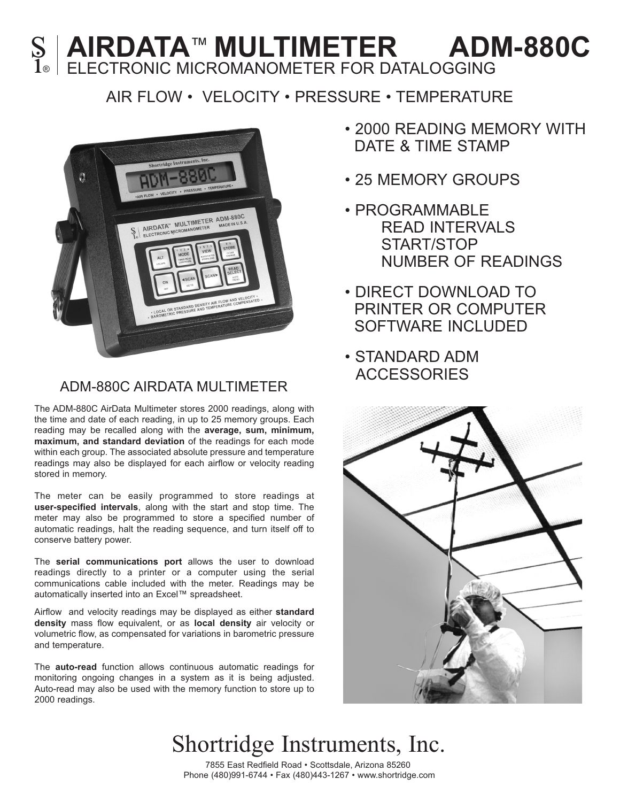### **AIRDATA™ MULTIMETER ADM-880C**<br>1® ELECTRONIC MICROMANOMETER FOR DATALOGGING ELECTRONIC MICROMANOMETER FOR DATALOGGING

### AIR FLOW • VELOCITY • PRESSURE • TEMPERATURE



### ADM-880C AIRDATA MULTIMETER

The ADM-880C AirData Multimeter stores 2000 readings, along with the time and date of each reading, in up to 25 memory groups. Each reading may be recalled along with the **average, sum, minimum, maximum, and standard deviation** of the readings for each mode within each group. The associated absolute pressure and temperature readings may also be displayed for each airflow or velocity reading stored in memory.

The meter can be easily programmed to store readings at **user-specified intervals**, along with the start and stop time. The meter may also be programmed to store a specified number of automatic readings, halt the reading sequence, and turn itself off to conserve battery power.

The **serial communications port** allows the user to download readings directly to a printer or a computer using the serial communications cable included with the meter. Readings may be automatically inserted into an Excel™ spreadsheet.

Airflow and velocity readings may be displayed as either **standard density** mass flow equivalent, or as **local density** air velocity or volumetric flow, as compensated for variations in barometric pressure and temperature.

The **auto-read** function allows continuous automatic readings for monitoring ongoing changes in a system as it is being adjusted. Auto-read may also be used with the memory function to store up to 2000 readings.

- 2000 READING MEMORY WITH DATE & TIME STAMP
- 25 MEMORY GROUPS
- PROGRAMMABLE READ INTERVALS START/STOP NUMBER OF READINGS
- DIRECT DOWNLOAD TO PRINTER OR COMPUTER SOFTWARE INCLUDED
- STANDARD ADM **ACCESSORIES**



# Shortridge Instruments, Inc.

7855 East Redfield Road • Scottsdale, Arizona 85260 Phone (480)991-6744 • Fax (480)443-1267 • www.shortridge.com